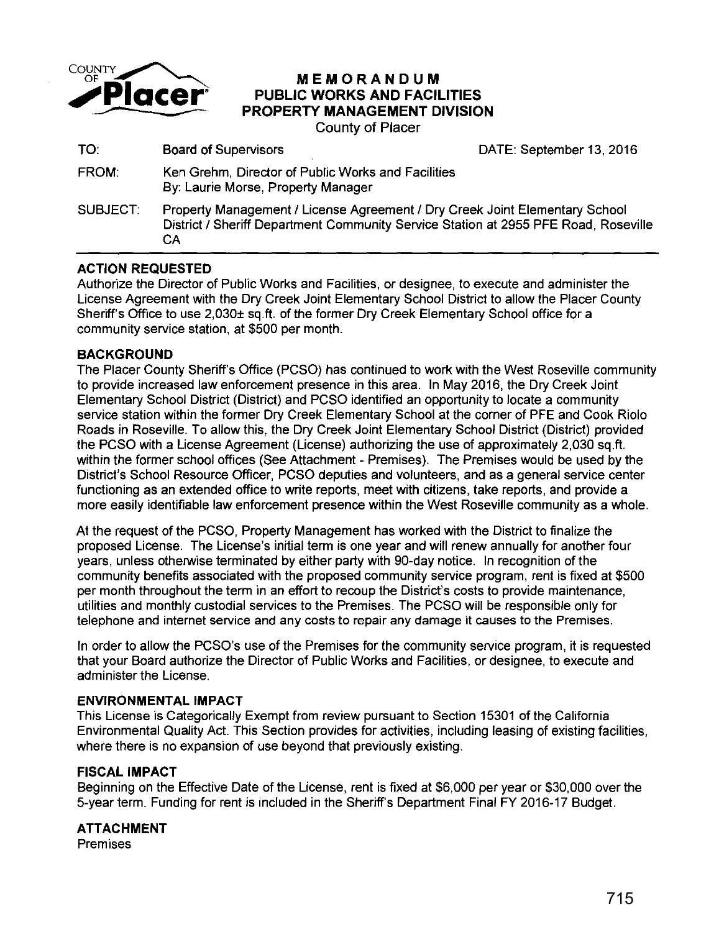

# **MEMORANDUM PUBLIC WORKS AND FACILITIES PROPERTY MANAGEMENT DIVISION**

County of Placer

| TO:             | <b>Board of Supervisors</b>                                                                                                                                              | DATE: September 13, 2016 |
|-----------------|--------------------------------------------------------------------------------------------------------------------------------------------------------------------------|--------------------------|
| FROM:           | Ken Grehm, Director of Public Works and Facilities<br>By: Laurie Morse, Property Manager                                                                                 |                          |
| <b>SUBJECT:</b> | Property Management / License Agreement / Dry Creek Joint Elementary School<br>District / Sheriff Department Community Service Station at 2955 PFE Road, Roseville<br>CА |                          |

### **ACTION REQUESTED**

Authorize the Director of Public Works and Facilities, or designee, to execute and administer the License Agreement with the Dry Creek Joint Elementary School District to allow the Placer County Sheriff's Office to use 2,030± sq. ft. of the former Dry Creek Elementary School office for a community service station, at \$500 per month.

#### **BACKGROUND**

The Placer County Sheriff's Office (PCSO) has continued to work with the West Roseville community to provide increased law enforcement presence in this area. In May 2016, the Dry Creek Joint Elementary School District (District) and PCSO identified an opportunity to locate a community service station within the former Dry Creek Elementary School at the corner of PFE and Cook Riolo Roads in Roseville. To allow this, the Dry Creek Joint Elementary School District (District) provided the PCSO with a License Agreement (License) authorizing the use of approximately 2,030 sq.ft. within the former school offices (See Attachment - Premises). The Premises would be used by the District's School Resource Officer, PCSO deputies and volunteers, and as a general service center functioning as an extended office to write reports, meet with citizens, take reports, and provide a more easily identifiable law enforcement presence within the West Roseville community as a whole.

At the request of the PCSO, Property Management has worked with the District to finalize the proposed License. The License's initial term is one year and will renew annually for another four years, unless otherwise terminated by either party with 90-day notice. In recognition of the community benefits associated with the proposed community service program, rent is fixed at \$500 per month throughout the term in an effort to recoup the District's costs to provide maintenance, utilities and monthly custodial services to the Premises. The PCSO will be responsible only for telephone and internet service and any costs to repair any damage it causes to the Premises.

In order to allow the PCSO's use of the Premises for the community service program, it is requested that your Board authorize the Director of Public Works and Facilities, or designee, to execute and administer the License.

#### **ENVIRONMENTAL IMPACT**

This License is Categorically Exempt from review pursuant to Section 15301 of the California Environmental Quality Act. This Section provides for activities, including leasing of existing facilities, where there is no expansion of use beyond that previously existing.

#### **FISCAL IMPACT**

Beginning on the Effective Date of the License, rent is fixed at \$6,000 per year or \$30,000 over the 5-year term. Funding for rent is included in the Sheriff's Department Final FY 2016-17 Budget.

#### **ATTACHMENT**

Premises